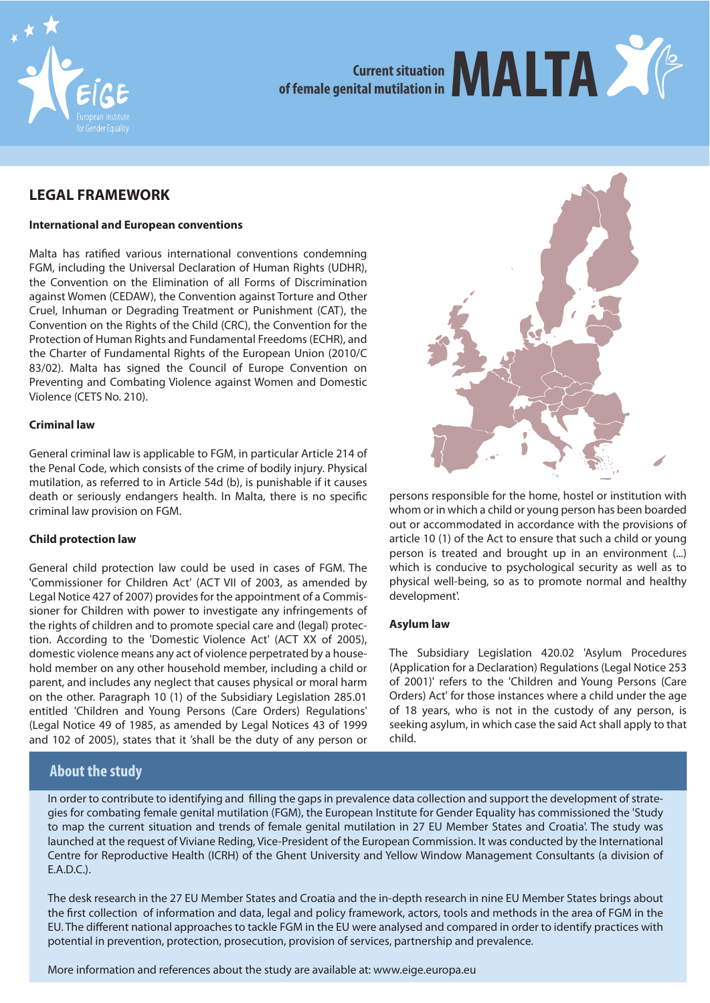

# **Current situation Of female genital mutilation in**

## **LEGAL FRAMEWORK**

#### **International and European conventions**

Malta has ratified various international conventions condemning FGM, including the Universal Declaration of Human Rights (UDHR), the Convention on the Elimination of all Forms of Discrimination against Women (CEDAW), the Convention against Torture and Other Cruel, Inhuman or Degrading Treatment or Punishment (CAT), the Convention on the Rights of the Child (CRC), the Convention for the Protection of Human Rights and Fundamental Freedoms (ECHR), and the Charter of Fundamental Rights of the European Union (2010/C 83/02). Malta has signed the Council of Europe Convention on Preventing and Combating Violence against Women and Domestic Violence (CETS No. 210).

#### **Criminal law**

General criminal law is applicable to FGM, in particular Article 214 of the Penal Code, which consists of the crime of bodily injury. Physical mutilation, as referred to in Article 54d (b), is punishable if it causes death or seriously endangers health. In Malta, there is no specific criminal law provision on FGM.

#### **Child protection law**

General child protection law could be used in cases of FGM. The 'Commissioner for Children Act' (ACT VII of 2003, as amended by Legal Notice 427 of 2007) provides for the appointment of a Commissioner for Children with power to investigate any infringements of the rights of children and to promote special care and (legal) protection. According to the 'Domestic Violence Act' (ACT XX of 2005), domestic violence means any act of violence perpetrated by a household member on any other household member, including a child or parent, and includes any neglect that causes physical or moral harm on the other. Paragraph 10 (1) of the Subsidiary Legislation 285.01 entitled 'Children and Young Persons (Care Orders) Regulations' (Legal Notice 49 of 1985, as amended by Legal Notices 43 of 1999 and 102 of 2005), states that it 'shall be the duty of any person or

## **About the study**



persons responsible for the home, hostel or institution with whom or in which a child or young person has been boarded out or accommodated in accordance with the provisions of article 10 (1) of the Act to ensure that such a child or young person is treated and brought up in an environment (...) which is conducive to psychological security as well as to physical well-being, so as to promote normal and healthy development'.

#### **Asylum law**

The Subsidiary Legislation 420.02 'Asylum Procedures (Application for a Declaration) Regulations (Legal Notice 253 of 2001)' refers to the 'Children and Young Persons (Care Orders) Act' for those instances where a child under the age of 18 years, who is not in the custody of any person, is seeking asylum, in which case the said Act shall apply to that child.

In order to contribute to identifying and filling the gaps in prevalence data collection and support the development of strategies for combating female genital mutilation (FGM), the European Institute for Gender Equality has commissioned the 'Study to map the current situation and trends of female genital mutilation in 27 EU Member States and Croatia'. The study was launched at the request of Viviane Reding, Vice-President of the European Commission. It was conducted by the International Centre for Reproductive Health (ICRH) of the Ghent University and Yellow Window Management Consultants (a division of  $FAPC$ 

The desk research in the 27 EU Member States and Croatia and the in-depth research in nine EU Member States brings about the first collection of information and data, legal and policy framework, actors, tools and methods in the area of FGM in the EU. The different national approaches to tackle FGM in the EU were analysed and compared in order to identify practices with potential in prevention, protection, prosecution, provision of services, partnership and prevalence.

More information and references about the study are available at: www.eige.europa.eu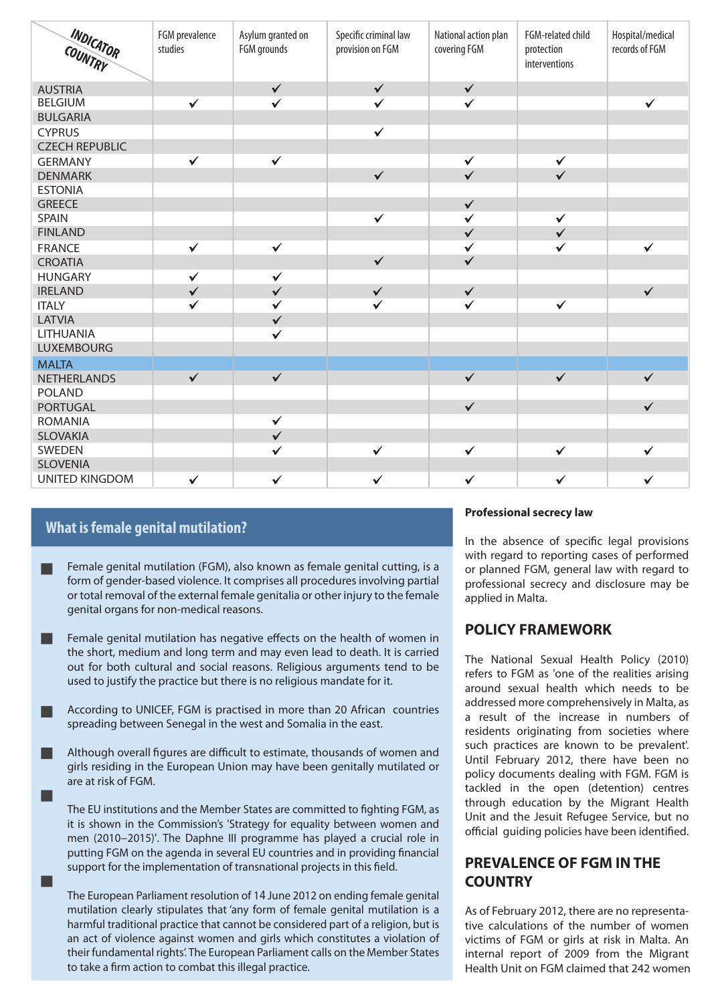| INDICATOR<br>COUNTRY  | FGM prevalence<br>studies | Asylum granted on<br>FGM grounds | Specific criminal law<br>provision on FGM | National action plan<br>covering FGM | FGM-related child<br>protection<br>interventions | Hospital/medical<br>records of FGM |
|-----------------------|---------------------------|----------------------------------|-------------------------------------------|--------------------------------------|--------------------------------------------------|------------------------------------|
| <b>AUSTRIA</b>        |                           | $\checkmark$                     | $\checkmark$                              | $\checkmark$                         |                                                  |                                    |
| <b>BELGIUM</b>        | $\checkmark$              | $\checkmark$                     | $\checkmark$                              | $\checkmark$                         |                                                  | $\checkmark$                       |
| <b>BULGARIA</b>       |                           |                                  |                                           |                                      |                                                  |                                    |
| <b>CYPRUS</b>         |                           |                                  | $\checkmark$                              |                                      |                                                  |                                    |
| <b>CZECH REPUBLIC</b> |                           |                                  |                                           |                                      |                                                  |                                    |
| <b>GERMANY</b>        | $\checkmark$              | $\checkmark$                     |                                           | $\checkmark$                         | $\checkmark$                                     |                                    |
| <b>DENMARK</b>        |                           |                                  | $\checkmark$                              | $\checkmark$                         | $\checkmark$                                     |                                    |
| <b>ESTONIA</b>        |                           |                                  |                                           |                                      |                                                  |                                    |
| <b>GREECE</b>         |                           |                                  |                                           | $\checkmark$                         |                                                  |                                    |
| <b>SPAIN</b>          |                           |                                  | $\checkmark$                              | $\checkmark$                         | $\checkmark$                                     |                                    |
| <b>FINLAND</b>        |                           |                                  |                                           | $\checkmark$                         | $\checkmark$                                     |                                    |
| <b>FRANCE</b>         | $\checkmark$              | $\checkmark$                     |                                           | $\checkmark$                         | $\checkmark$                                     | $\checkmark$                       |
| <b>CROATIA</b>        |                           |                                  | $\checkmark$                              | $\checkmark$                         |                                                  |                                    |
| <b>HUNGARY</b>        | $\checkmark$              | $\checkmark$                     |                                           |                                      |                                                  |                                    |
| <b>IRELAND</b>        | $\checkmark$              | $\checkmark$                     | $\checkmark$                              | $\checkmark$                         |                                                  | $\checkmark$                       |
| <b>ITALY</b>          | $\checkmark$              | $\checkmark$                     | $\checkmark$                              | $\checkmark$                         | $\checkmark$                                     |                                    |
| <b>LATVIA</b>         |                           | $\checkmark$                     |                                           |                                      |                                                  |                                    |
| LITHUANIA             |                           | $\checkmark$                     |                                           |                                      |                                                  |                                    |
| <b>LUXEMBOURG</b>     |                           |                                  |                                           |                                      |                                                  |                                    |
| <b>MALTA</b>          |                           |                                  |                                           |                                      |                                                  |                                    |
| <b>NETHERLANDS</b>    | $\checkmark$              | $\checkmark$                     |                                           | $\checkmark$                         | $\checkmark$                                     | $\checkmark$                       |
| <b>POLAND</b>         |                           |                                  |                                           |                                      |                                                  |                                    |
| <b>PORTUGAL</b>       |                           |                                  |                                           | $\checkmark$                         |                                                  | $\checkmark$                       |
| <b>ROMANIA</b>        |                           | $\checkmark$                     |                                           |                                      |                                                  |                                    |
| <b>SLOVAKIA</b>       |                           | $\checkmark$                     |                                           |                                      |                                                  |                                    |
| SWEDEN                |                           | $\checkmark$                     | $\checkmark$                              | $\checkmark$                         | $\checkmark$                                     | $\checkmark$                       |
| <b>SLOVENIA</b>       |                           |                                  |                                           |                                      |                                                  |                                    |
| <b>UNITED KINGDOM</b> | $\checkmark$              | $\checkmark$                     | $\checkmark$                              | $\checkmark$                         | $\checkmark$                                     | $\checkmark$                       |

## **What is female genital mutilation?**

ш

П

- Female genital mutilation (FGM), also known as female genital cutting, is a form of gender-based violence. It comprises all procedures involving partial or total removal of the external female genitalia or other injury to the female genital organs for non-medical reasons.
- Female genital mutilation has negative effects on the health of women in the short, medium and long term and may even lead to death. It is carried out for both cultural and social reasons. Religious arguments tend to be used to justify the practice but there is no religious mandate for it.
- According to UNICEF, FGM is practised in more than 20 African countries spreading between Senegal in the west and Somalia in the east.
- Although overall figures are difficult to estimate, thousands of women and girls residing in the European Union may have been genitally mutilated or are at risk of FGM.

The EU institutions and the Member States are committed to fighting FGM, as it is shown in the Commission's 'Strategy for equality between women and men (2010−2015)'. The Daphne III programme has played a crucial role in putting FGM on the agenda in several EU countries and in providing financial support for the implementation of transnational projects in this field.

The European Parliament resolution of 14 June 2012 on ending female genital mutilation clearly stipulates that 'any form of female genital mutilation is a harmful traditional practice that cannot be considered part of a religion, but is an act of violence against women and girls which constitutes a violation of their fundamental rights'. The European Parliament calls on the Member States to take a firm action to combat this illegal practice.

#### **Professional secrecy law**

In the absence of specific legal provisions with regard to reporting cases of performed or planned FGM, general law with regard to professional secrecy and disclosure may be applied in Malta.

## **POLICY FRAMEWORK**

The National Sexual Health Policy (2010) refers to FGM as 'one of the realities arising around sexual health which needs to be addressed more comprehensively in Malta, as a result of the increase in numbers of residents originating from societies where such practices are known to be prevalent'. Until February 2012, there have been no policy documents dealing with FGM. FGM is tackled in the open (detention) centres through education by the Migrant Health Unit and the Jesuit Refugee Service, but no official quiding policies have been identified.

## **PREVALENCE OF FGM IN THE COUNTRY**

As of February 2012, there are no representative calculations of the number of women victims of FGM or girls at risk in Malta. An internal report of 2009 from the Migrant Health Unit on FGM claimed that 242 women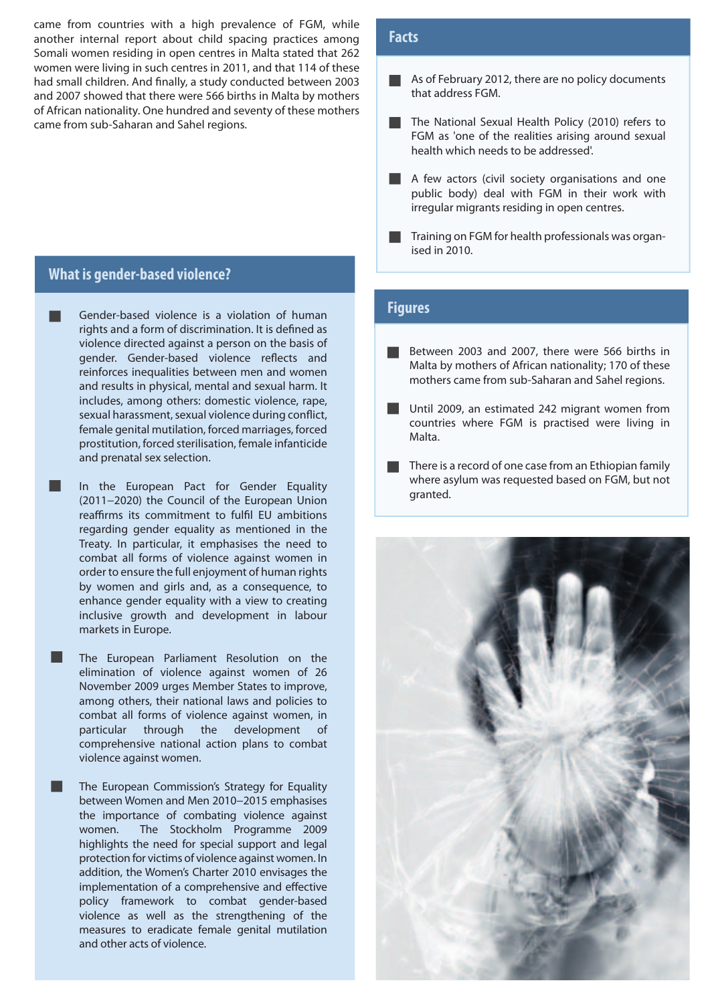came from countries with a high prevalence of FGM, while another internal report about child spacing practices among Somali women residing in open centres in Malta stated that 262 women were living in such centres in 2011, and that 114 of these had small children. And finally, a study conducted between 2003 and 2007 showed that there were 566 births in Malta by mothers of African nationality. One hundred and seventy of these mothers came from sub-Saharan and Sahel regions.

### **What is gender-based violence?**

l I

l 1

- Gender-based violence is a violation of human rights and a form of discrimination. It is defined as violence directed against a person on the basis of gender. Gender-based violence reflects and reinforces inequalities between men and women and results in physical, mental and sexual harm. It includes, among others: domestic violence, rape, sexual harassment, sexual violence during conflict, female genital mutilation, forced marriages, forced prostitution, forced sterilisation, female infanticide and prenatal sex selection.
	- In the European Pact for Gender Equality (2011−2020) the Council of the European Union reaffirms its commitment to fulfil EU ambitions regarding gender equality as mentioned in the Treaty. In particular, it emphasises the need to combat all forms of violence against women in order to ensure the full enjoyment of human rights by women and girls and, as a consequence, to enhance gender equality with a view to creating inclusive growth and development in labour markets in Europe.
	- The European Parliament Resolution on the elimination of violence against women of 26 November 2009 urges Member States to improve, among others, their national laws and policies to combat all forms of violence against women, in particular through the development of comprehensive national action plans to combat violence against women.

The European Commission's Strategy for Equality between Women and Men 2010−2015 emphasises the importance of combating violence against women. The Stockholm Programme 2009 highlights the need for special support and legal protection for victims of violence against women. In addition, the Women's Charter 2010 envisages the implementation of a comprehensive and effective policy framework to combat gender-based violence as well as the strengthening of the measures to eradicate female genital mutilation and other acts of violence.

### **Facts**

- As of February 2012, there are no policy documents that address FGM.
- The National Sexual Health Policy (2010) refers to FGM as 'one of the realities arising around sexual health which needs to be addressed'.
- A few actors (civil society organisations and one public body) deal with FGM in their work with irregular migrants residing in open centres.
- Training on FGM for health professionals was organised in 2010.

#### **Figures**

- Between 2003 and 2007, there were 566 births in Malta by mothers of African nationality; 170 of these mothers came from sub-Saharan and Sahel regions.
- Until 2009, an estimated 242 migrant women from countries where FGM is practised were living in Malta.
- There is a record of one case from an Ethiopian family where asylum was requested based on FGM, but not granted.